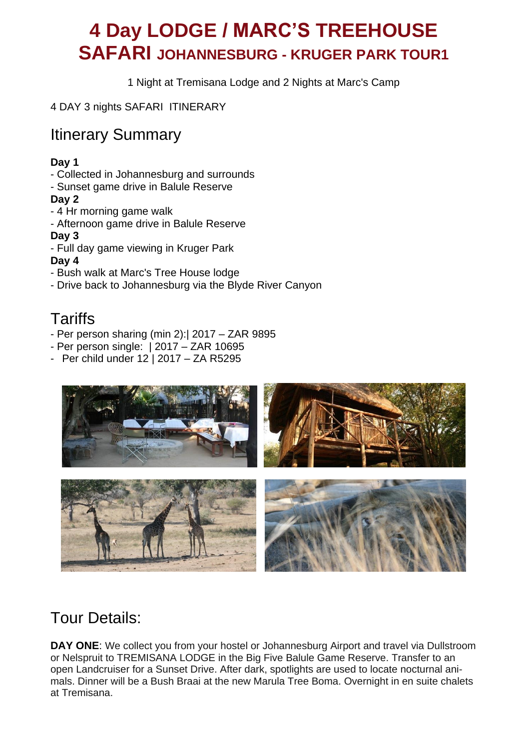# **4 Day LODGE / MARC'S TREEHOUSE SAFARI JOHANNESBURG - KRUGER PARK TOUR1**

1 Night at Tremisana Lodge and 2 Nights at Marc's Camp

4 DAY 3 nights SAFARI ITINERARY

## Itinerary Summary

#### **Day 1**

- Collected in Johannesburg and surrounds
- Sunset game drive in Balule Reserve

#### **Day 2**

- 4 Hr morning game walk
- Afternoon game drive in Balule Reserve

#### **Day 3**

- Full day game viewing in Kruger Park

#### **Day 4**

- Bush walk at Marc's Tree House lodge
- Drive back to Johannesburg via the Blyde River Canyon

## **Tariffs**

- Per person sharing (min 2):| 2017 ZAR 9895
- Per person single: | 2017 ZAR 10695
- Per child under 12 | 2017 ZA R5295



# Tour Details:

**DAY ONE:** We collect you from your hostel or Johannesburg Airport and travel via Dullstroom or Nelspruit to TREMISANA LODGE in the Big Five Balule Game Reserve. Transfer to an open Landcruiser for a Sunset Drive. After dark, spotlights are used to locate nocturnal animals. Dinner will be a Bush Braai at the new Marula Tree Boma. Overnight in en suite chalets at Tremisana.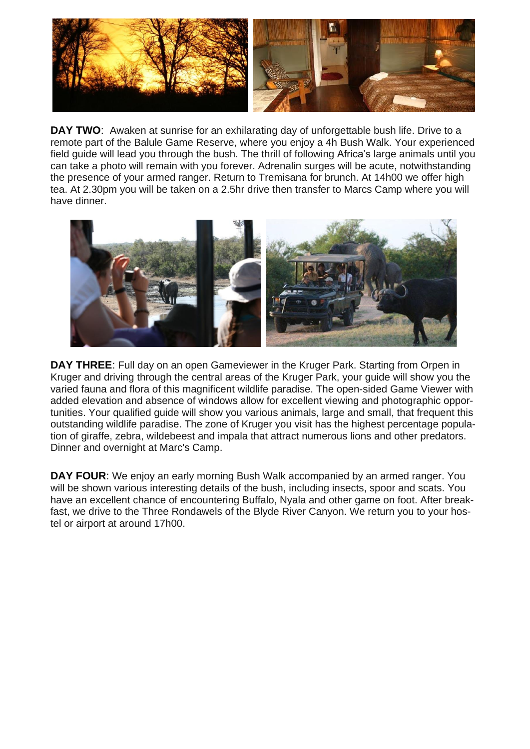

**DAY TWO:** Awaken at sunrise for an exhilarating day of unforgettable bush life. Drive to a remote part of the Balule Game Reserve, where you enjoy a 4h Bush Walk. Your experienced field guide will lead you through the bush. The thrill of following Africa's large animals until you can take a photo will remain with you forever. Adrenalin surges will be acute, notwithstanding the presence of your armed ranger. Return to Tremisana for brunch. At 14h00 we offer high tea. At 2.30pm you will be taken on a 2.5hr drive then transfer to Marcs Camp where you will have dinner.



**DAY THREE**: Full day on an open Gameviewer in the Kruger Park. Starting from Orpen in Kruger and driving through the central areas of the Kruger Park, your guide will show you the varied fauna and flora of this magnificent wildlife paradise. The open-sided Game Viewer with added elevation and absence of windows allow for excellent viewing and photographic opportunities. Your qualified guide will show you various animals, large and small, that frequent this outstanding wildlife paradise. The zone of Kruger you visit has the highest percentage population of giraffe, zebra, wildebeest and impala that attract numerous lions and other predators. Dinner and overnight at Marc's Camp.

**DAY FOUR**: We enjoy an early morning Bush Walk accompanied by an armed ranger. You will be shown various interesting details of the bush, including insects, spoor and scats. You have an excellent chance of encountering Buffalo, Nyala and other game on foot. After breakfast, we drive to the Three Rondawels of the Blyde River Canyon. We return you to your hostel or airport at around 17h00.